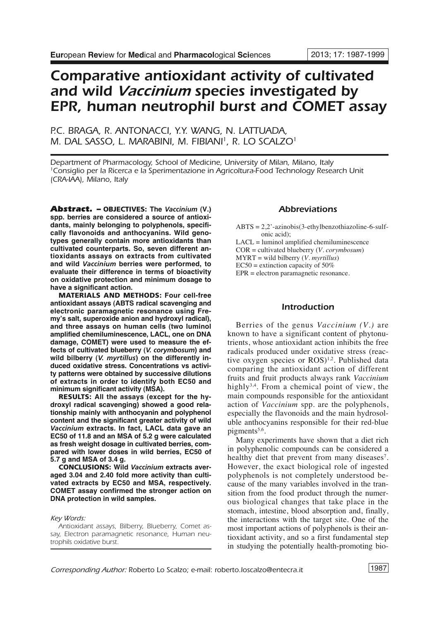# *Comparative antioxidant activity of cultivated and wild Vaccinium species investigated by EPR, human neutrophil burst and COMET assay*

## *P.C. BRAGA, R. ANTONACCI, Y.Y. WANG, N. LATTUADA, M. DAL SASSO, L. MARABINI, M. FIBIANI 1, R. LO SCALZO1*

*Department of Pharmacology, School of Medicine, University of Milan, Milano, Italy 1Consiglio per la Ricerca e la Sperimentazione in Agricoltura-Food Technology Research Unit (CRA-IAA), Milano, Italy*

*Abstract. –* **OBJECTIVES: The** *Vaccinium* **(V.) spp. berries are considered a source of antioxidants, mainly belonging to polyphenols, specifically flavonoids and anthocyanins. Wild genotypes generally contain more antioxidants than cultivated counterparts. So, seven different antioxidants assays on extracts from cultivated and wild** *Vaccinium* **berries were performed, to evaluate their difference in terms of bioactivity on oxidative protection and minimum dosage to have a significant action.**

**MATERIALS AND METHODS: Four cell-free antioxidant assays (ABTS radical scavenging and electronic paramagnetic resonance using Fremy's salt, superoxide anion and hydroxyl radical), and three assays on human cells (two luminol amplified chemiluminescence, LACL, one on DNA damage, COMET) were used to measure the effects of cultivated blueberry (***V. corymbosum***) and wild bilberry (***V. myrtillus***) on the differently induced oxidative stress. Concentrations vs activity patterns were obtained by successive dilutions of extracts in order to identify both EC50 and minimum significant activity (MSA).**

**RESULTS: All the assays (except for the hydroxyl radical scavenging) showed a good relationship mainly with anthocyanin and polyphenol content and the significant greater activity of wild** *Vaccinium* **extracts. In fact, LACL data gave an EC50 of 11.8 and an MSA of 5.2 g were calculated as fresh weight dosage in cultivated berries, compared with lower doses in wild berries, EC50 of 5.7 g and MSA of 3.4 g.**

**CONCLUSIONS: Wild** *Vaccinium* **extracts averaged 3.04 and 2.40 fold more activity than cultivated extracts by EC50 and MSA, respectively. COMET assay confirmed the stronger action on DNA protection in wild samples.**

*Key Words:*

## *Abbreviations*

 $ABTS = 2,2$ '-azinobis(3-ethylbenzothiazoline-6-sulfonic acid);

LACL = luminol amplified chemiluminescence

COR = cultivated blueberry (*V. corymbosum*)

MYRT = wild bilberry (*V. myrtillus*)

 $EC50$  = extinction capacity of 50%

EPR = electron paramagnetic resonance.

## *Introduction*

Berries of the genus *Vaccinium (V.)* are known to have a significant content of phytonutrients, whose antioxidant action inhibits the free radicals produced under oxidative stress (reactive oxygen species or ROS)<sup>1,2</sup>. Published data comparing the antioxidant action of different fruits and fruit products always rank *Vaccinium* highly<sup>3,4</sup>. From a chemical point of view, the main compounds responsible for the antioxidant action of *Vaccinium* spp. are the polyphenols, especially the flavonoids and the main hydrosoluble anthocyanins responsible for their red-blue pigments<sup>5,6</sup>.

Many experiments have shown that a diet rich in polyphenolic compounds can be considered a healthy diet that prevent from many diseases<sup>7</sup>. However, the exact biological role of ingested polyphenols is not completely understood because of the many variables involved in the transition from the food product through the numerous biological changes that take place in the stomach, intestine, blood absorption and, finally, the interactions with the target site. One of the most important actions of polyphenols is their antioxidant activity, and so a first fundamental step in studying the potentially health-promoting bio-

*Antioxidant assays, Bilberry, Blueberry, Comet assay, Electron paramagnetic resonance, Human neutrophils oxidative burst.*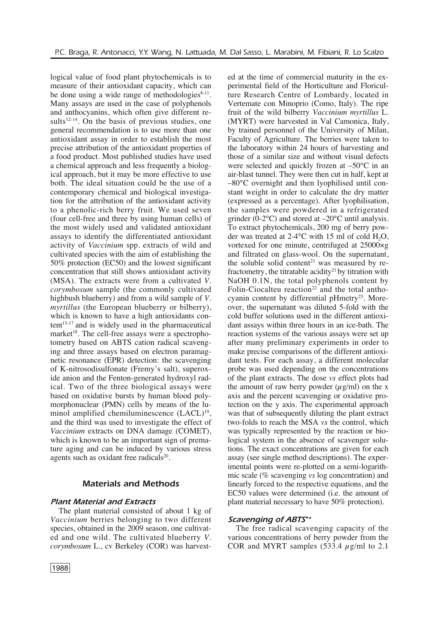logical value of food plant phytochemicals is to measure of their antioxidant capacity, which can be done using a wide range of methodologies $8-11$ . Many assays are used in the case of polyphenols and anthocyanins, which often give different results $12-14$ . On the basis of previous studies, one general recommendation is to use more than one antioxidant assay in order to establish the most precise attribution of the antioxidant properties of a food product. Most published studies have used a chemical approach and less frequently a biological approach, but it may be more effective to use both. The ideal situation could be the use of a contemporary chemical and biological investigation for the attribution of the antioxidant activity to a phenolic-rich berry fruit. We used seven (four cell-free and three by using human cells) of the most widely used and validated antioxidant assays to identify the differentiated antioxidant activity of *Vaccinium* spp. extracts of wild and cultivated species with the aim of establishing the 50% protection (EC50) and the lowest significant concentration that still shows antioxidant activity (MSA). The extracts were from a cultivated *V. corymbosum* sample (the commonly cultivated highbush blueberry) and from a wild sample of *V. myrtillus* (the European blueberry or bilberry), which is known to have a high antioxidants content 15-17 and is widely used in the pharmaceutical market<sup>18</sup>. The cell-free assays were a spectrophotometry based on ABTS cation radical scavenging and three assays based on electron paramagnetic resonance (EPR) detection: the scavenging of K-nitrosodisulfonate (Fremy's salt), superoxide anion and the Fenton-generated hydroxyl radical. Two of the three biological assays were based on oxidative bursts by human blood polymorphonuclear (PMN) cells by means of the luminol amplified chemiluminescence (LACL)<sup>19</sup>, and the third was used to investigate the effect of *Vaccinium* extracts on DNA damage (COMET), which is known to be an important sign of premature aging and can be induced by various stress agents such as oxidant free radicals<sup>20</sup>.

## *Materials and Methods*

## *Plant Material and Extracts*

The plant material consisted of about 1 kg of *Vaccinium* berries belonging to two different species, obtained in the 2009 season, one cultivated and one wild. The cultivated blueberry *V. corymbosum* L., cv Berkeley (COR) was harvested at the time of commercial maturity in the experimental field of the Horticulture and Floriculture Research Centre of Lombardy, located in Vertemate con Minoprio (Como, Italy). The ripe fruit of the wild bilberry *Vaccinium myrtillus* L. (MYRT) were harvested in Val Camonica, Italy, by trained personnel of the University of Milan, Faculty of Agriculture. The berries were taken to the laboratory within 24 hours of harvesting and those of a similar size and without visual defects were selected and quickly frozen at –50°C in an air-blast tunnel. They were then cut in half, kept at –80°C overnight and then lyophilised until constant weight in order to calculate the dry matter (expressed as a percentage). After lyophilisation, the samples were powdered in a refrigerated grinder (0-2 $\degree$ C) and stored at  $-20\degree$ C until analysis. To extract phytochemicals, 200 mg of berry powder was treated at 2-4 $\degree$ C with 15 ml of cold H<sub>2</sub>O, vortexed for one minute, centrifuged at 25000×g and filtrated on glass-wool. On the supernatant, the soluble solid content <sup>21</sup> was measured by refractometry, the titratable acidity<sup>21</sup> by titration with NaOH 0.1N, the total polyphenols content by Folin-Ciocalteu reaction<sup>22</sup> and the total anthocyanin content by differential pHmetry<sup>23</sup>. Moreover, the supernatant was diluted 5-fold with the cold buffer solutions used in the different antioxidant assays within three hours in an ice-bath. The reaction systems of the various assays were set up after many preliminary experiments in order to make precise comparisons of the different antioxidant tests. For each assay, a different molecular probe was used depending on the concentrations of the plant extracts. The dose *vs* effect plots had the amount of raw berry powder  $(\mu \varrho/ml)$  on the x axis and the percent scavenging or oxidative protection on the y axis. The experimental approach was that of subsequently diluting the plant extract two-folds to reach the MSA *vs* the control, which was typically represented by the reaction or biological system in the absence of scavenger solutions. The exact concentrations are given for each assay (see single method descriptions). The experimental points were re-plotted on a semi-logarithmic scale (% scavenging *vs* log concentration) and linearly forced to the respective equations, and the EC50 values were determined (i.e. the amount of plant material necessary to have 50% protection).

#### *Scavenging of ABTS•+*

The free radical scavenging capacity of the various concentrations of berry powder from the COR and MYRT samples  $(533.4 \text{ µg/ml to } 2.1)$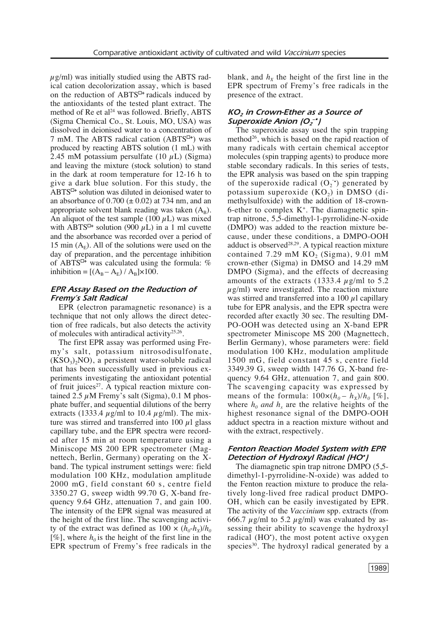$\mu$ g/ml) was initially studied using the ABTS radical cation decolorization assay, which is based on the reduction of ABTS<sup> $\Box$ +</sup> radicals induced by the antioxidants of the tested plant extract. The method of Re et al <sup>24</sup> was followed. Briefly, ABTS (Sigma Chemical Co., St. Louis, MO, USA) was dissolved in deionised water to a concentration of 7 mM. The ABTS radical cation (ABTS<sup> $\Box$ +</sup>) was produced by reacting ABTS solution (1 mL) with 2.45 mM potassium persulfate (10  $\mu$ L) (Sigma) and leaving the mixture (stock solution) to stand in the dark at room temperature for 12-16 h to give a dark blue solution. For this study, the ABTS<sup> $\Box$ +</sup> solution was diluted in deionised water to an absorbance of  $0.700 \ (\pm 0.02)$  at 734 nm, and an appropriate solvent blank reading was taken  $(A_B)$ . An aliquot of the test sample (100  $\mu$ L) was mixed with ABTS<sup> $\Box$ +</sup> solution (900  $\mu$ L) in a 1 ml cuvette and the absorbance was recorded over a period of 15 min  $(A_F)$ . All of the solutions were used on the day of preparation, and the percentage inhibition of ABTS<sup> $\Box$ +</sup> was calculated using the formula: % inhibition =  $[(A_{B} - A_{E}) / A_{B}] \times 100$ .

## *EPR Assay Based on the Reduction of Fremy's Salt Radical*

EPR (electron paramagnetic resonance) is a technique that not only allows the direct detection of free radicals, but also detects the activity of molecules with antiradical activity<sup>25,26</sup>.

The first EPR assay was performed using Fremy's salt, potassium nitrosodisulfonate,  $(KSO<sub>3</sub>)<sub>2</sub>NO$ , a persistent water-soluble radical that has been successfully used in previous experiments investigating the antioxidant potential of fruit juices<sup>27</sup>. A typical reaction mixture contained  $2.5 \mu$ M Fremy's salt (Sigma), 0.1 M phosphate buffer, and sequential dilutions of the berry extracts (1333.4  $\mu$ g/ml to 10.4  $\mu$ g/ml). The mixture was stirred and transferred into 100  $\mu$ l glass capillary tube, and the EPR spectra were recorded after 15 min at room temperature using a Miniscope MS 200 EPR spectrometer (Magnettech, Berlin, Germany) operating on the Xband. The typical instrument settings were: field modulation 100 KHz, modulation amplitude 2000 mG, field constant 60 s, centre field 3350.27 G, sweep width 99.70 G, X-band frequency 9.64 GHz, attenuation 7, and gain 100. The intensity of the EPR signal was measured at the height of the first line. The scavenging activity of the extract was defined as  $100 \times (h_0-h_x)/h_0$ [%], where  $h_0$  is the height of the first line in the EPR spectrum of Fremy's free radicals in the

blank, and  $h<sub>x</sub>$  the height of the first line in the EPR spectrum of Fremy's free radicals in the presence of the extract.

## *KO2 in Crown-Ether as a Source of Superoxide Anion (O<sub>2</sub><sup>-•</sup>)*

The superoxide assay used the spin trapping method<sup>26</sup>, which is based on the rapid reaction of many radicals with certain chemical acceptor molecules (spin trapping agents) to produce more stable secondary radicals. In this series of tests, the EPR analysis was based on the spin trapping of the superoxide radical  $(O_2^{\bullet})$  generated by potassium superoxide  $(KO<sub>2</sub>)$  in DMSO (dimethylsulfoxide) with the addition of 18-crown-6-ether to complex  $K^+$ . The diamagnetic spintrap nitrone, 5,5-dimethyl-1-pyrrolidine-N-oxide (DMPO) was added to the reaction mixture because, under these conditions, a DMPO-OOH adduct is observed<sup>28,29</sup>. A typical reaction mixture contained  $7.29$  mM  $KO<sub>2</sub>$  (Sigma),  $9.01$  mM crown-ether (Sigma) in DMSO and 14.29 mM DMPO (Sigma), and the effects of decreasing amounts of the extracts (1333.4  $\mu$ g/ml to 5.2  $\mu$ g/ml) were investigated. The reaction mixture was stirred and transferred into a 100  $\mu$ l capillary tube for EPR analysis, and the EPR spectra were recorded after exactly 30 sec. The resulting DM-PO-OOH was detected using an X-band EPR spectrometer Miniscope MS 200 (Magnettech, Berlin Germany), whose parameters were: field modulation 100 KHz, modulation amplitude 1500 mG, field constant 45 s, centre field 3349.39 G, sweep width 147.76 G, X-band frequency 9.64 GHz, attenuation 7, and gain 800. The scavenging capacity was expressed by means of the formula:  $100\times(h_0 - h_x)/h_0$  [%], where  $h_0$  *and*  $h_x$  are the relative heights of the highest resonance signal of the DMPO-OOH adduct spectra in a reaction mixture without and with the extract, respectively.

## *Fenton Reaction Model System with EPR Detection of Hydroxyl Radical (HO•)*

The diamagnetic spin trap nitrone DMPO (5,5 dimethyl-1-pyrrolidine-N-oxide) was added to the Fenton reaction mixture to produce the relatively long-lived free radical product DMPO-OH, which can be easily investigated by EPR. The activity of the *Vaccinium* spp. extracts (from 666.7  $\mu$ g/ml to 5.2  $\mu$ g/ml) was evaluated by assessing their ability to scavenge the hydroxyl radical (HO<sup>\*</sup>), the most potent active oxygen species<sup>30</sup>. The hydroxyl radical generated by a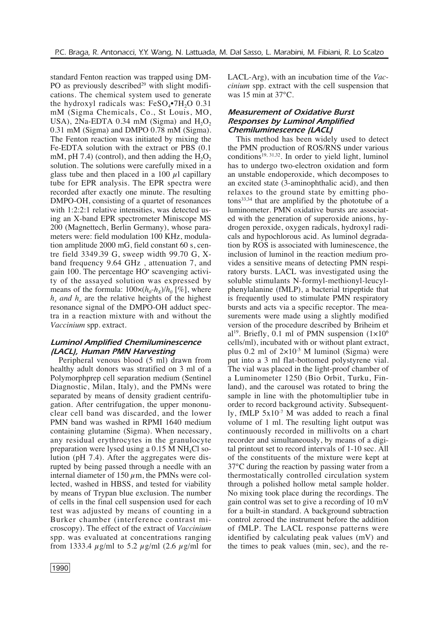standard Fenton reaction was trapped using DM-PO as previously described $29$  with slight modifications. The chemical system used to generate the hydroxyl radicals was:  $FeSO_4$ •7H<sub>2</sub>O 0.31 mM (Sigma Chemicals, Co., St Louis, MO, USA), 2Na-EDTA 0.34 mM (Sigma) and  $H_2O_2$ 0.31 mM (Sigma) and DMPO 0.78 mM (Sigma). The Fenton reaction was initiated by mixing the Fe-EDTA solution with the extract or PBS (0.1 mM, pH 7.4) (control), and then adding the  $H_2O_2$ solution. The solutions were carefully mixed in a glass tube and then placed in a 100  $\mu$ l capillary tube for EPR analysis. The EPR spectra were recorded after exactly one minute. The resulting DMPO-OH, consisting of a quartet of resonances with 1:2:2:1 relative intensities, was detected using an X-band EPR spectrometer Miniscope MS 200 (Magnettech, Berlin Germany), whose parameters were: field modulation 100 KHz, modulation amplitude 2000 mG, field constant 60 s, centre field 3349.39 G, sweep width 99.70 G, Xband frequency 9.64 GHz , attenuation 7, and gain 100. The percentage HO• scavenging activity of the assayed solution was expressed by means of the formula:  $100 \times (h_0 - h_x)/h_0$  [%], where  $h_x$  *and*  $h_0$  are the relative heights of the highest resonance signal of the DMPO-OH adduct spectra in a reaction mixture with and without the *Vaccinium* spp. extract.

## *Luminol Amplified Chemiluminescence (LACL), Human PMN Harvesting*

Peripheral venous blood (5 ml) drawn from healthy adult donors was stratified on 3 ml of a Polymorphprep cell separation medium (Sentinel Diagnostic, Milan, Italy), and the PMNs were separated by means of density gradient centrifugation. After centrifugation, the upper mononuclear cell band was discarded, and the lower PMN band was washed in RPMI 1640 medium containing glutamine (Sigma). When necessary, any residual erythrocytes in the granulocyte preparation were lysed using a  $0.15$  M NH<sub>4</sub>Cl solution (pH 7.4). After the aggregates were disrupted by being passed through a needle with an internal diameter of 150  $\mu$ m, the PMNs were collected, washed in HBSS, and tested for viability by means of Trypan blue exclusion. The number of cells in the final cell suspension used for each test was adjusted by means of counting in a Burker chamber (interference contrast microscopy). The effect of the extract of *Vaccinium* spp. was evaluated at concentrations ranging from 1333.4  $\mu$ g/ml to 5.2  $\mu$ g/ml (2.6  $\mu$ g/ml for LACL-Arg), with an incubation time of the *Vaccinium* spp. extract with the cell suspension that was 15 min at 37°C.

## *Measurement of Oxidative Burst Responses by Luminol Amplified Chemiluminescence (LACL)*

This method has been widely used to detect the PMN production of ROS/RNS under various conditions<sup>19, 31,32</sup>. In order to yield light, luminol has to undergo two-electron oxidation and form an unstable endoperoxide, which decomposes to an excited state (3-aminophthalic acid), and then relaxes to the ground state by emitting photons33,34 that are amplified by the phototube of a luminometer. PMN oxidative bursts are associated with the generation of superoxide anions, hydrogen peroxide, oxygen radicals, hydroxyl radicals and hypochlorous acid. As luminol degradation by ROS is associated with luminescence, the inclusion of luminol in the reaction medium provides a sensitive means of detecting PMN respiratory bursts. LACL was investigated using the soluble stimulants N-formyl-methionyl-leucylphenylalanine (fMLP), a bacterial tripeptide that is frequently used to stimulate PMN respiratory bursts and acts via a specific receptor. The measurements were made using a slightly modified version of the procedure described by Briheim et al<sup>19</sup>. Briefly, 0.1 ml of PMN suspension  $(1 \times 10^6$ cells/ml), incubated with or without plant extract, plus 0.2 ml of  $2\times10^{-5}$  M luminol (Sigma) were put into a 3 ml flat-bottomed polystyrene vial. The vial was placed in the light-proof chamber of a Luminometer 1250 (Bio Orbit, Turku, Finland), and the carousel was rotated to bring the sample in line with the photomultiplier tube in order to record background activity. Subsequently, fMLP 5x10-7 M was added to reach a final volume of 1 ml. The resulting light output was continuously recorded in millivolts on a chart recorder and simultaneously, by means of a digital printout set to record intervals of 1-10 sec. All of the constituents of the mixture were kept at 37°C during the reaction by passing water from a thermostatically controlled circulation system through a polished hollow metal sample holder. No mixing took place during the recordings. The gain control was set to give a recording of 10 mV for a built-in standard. A background subtraction control zeroed the instrument before the addition of fMLP. The LACL response patterns were identified by calculating peak values (mV) and the times to peak values (min, sec), and the re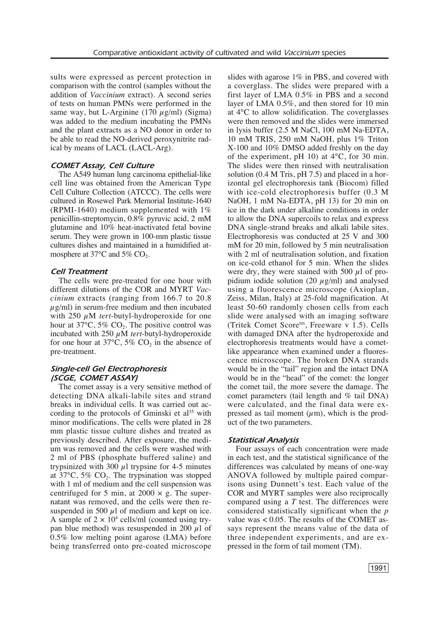sults were expressed as percent protection in comparison with the control (samples without the addition of *Vaccinium* extract). A second series of tests on human PMNs were performed in the same way, but L-Arginine (170  $\mu$ g/ml) (Sigma) was added to the medium incubating the PMNs and the plant extracts as a NO donor in order to be able to read the NO-derived peroxynitrite radical by means of LACL (LACL-Arg).

### *COMET Assay, Cell Culture*

The A549 human lung carcinoma epithelial-like cell line was obtained from the American Type Cell Culture Collection (ATCCC). The cells were cultured in Rosewel Park Memorial Institute-1640 (RPMI-1640) medium supplemented with 1% penicillin-streptomycin, 0.8% pyruvic acid, 2 mM glutamine and 10% heat-inactivated fetal bovine serum. They were grown in 100-mm plastic tissue cultures dishes and maintained in a humidified atmosphere at  $37^{\circ}$ C and  $5\%$  CO<sub>2</sub>.

#### *Cell Treatment*

The cells were pre-treated for one hour with different dilutions of the COR and MYRT *Vaccinium* extracts (ranging from 166.7 to 20.8  $\mu$ g/ml) in serum-free medium and then incubated with 250  $\mu$ M *tert*-butyl-hydroperoxide for one hour at  $37^{\circ}$ C,  $5\%$  CO<sub>2</sub>. The positive control was incubated with 250 µM *tert*-butyl-hydroperoxide for one hour at  $37^{\circ}$ C,  $5\%$  CO<sub>2</sub> in the absence of pre-treatment.

## *Single-cell Gel Electrophoresis (SCGE, COMET ASSAY)*

The comet assay is a very sensitive method of detecting DNA alkali-labile sites and strand breaks in individual cells. It was carried out according to the protocols of Gminski et al<sup>35</sup> with minor modifications. The cells were plated in 28 mm plastic tissue culture dishes and treated as previously described. After exposure, the medium was removed and the cells were washed with 2 ml of PBS (phosphate buffered saline) and trypsinized with  $300 \mu l$  trypsine for 4-5 minutes at  $37^{\circ}$ C,  $5\%$  CO<sub>2</sub>. The trypsination was stopped with 1 ml of medium and the cell suspension was centrifuged for 5 min, at 2000  $\times$  g. The supernatant was removed, and the cells were then resuspended in 500  $\mu$ l of medium and kept on ice. A sample of  $2 \times 10^4$  cells/ml (counted using trypan blue method) was resuspended in 200  $\mu$ l of 0.5% low melting point agarose (LMA) before being transferred onto pre-coated microscope slides with agarose 1% in PBS, and covered with a coverglass. The slides were prepared with a first layer of LMA 0.5% in PBS and a second layer of LMA 0.5%, and then stored for 10 min at 4°C to allow solidification. The coverglasses were then removed and the slides were immersed in lysis buffer (2.5 M NaCl, 100 mM Na-EDTA, 10 mM TRIS, 250 mM NaOH, plus 1% Triton X-100 and 10% DMSO added freshly on the day of the experiment, pH 10) at 4°C, for 30 min. The slides were then rinsed with neutralisation solution (0.4 M Tris, pH 7.5) and placed in a horizontal gel electrophoresis tank (Biocom) filled with ice-cold electrophoresis buffer (0.3 M NaOH, 1 mM Na-EDTA, pH 13) for 20 min on ice in the dark under alkaline conditions in order to allow the DNA supercoils to relax and express DNA single-strand breaks and alkali labile sites. Electrophoresis was conducted at 25 V and 300 mM for 20 min, followed by 5 min neutralisation with 2 ml of neutralisation solution, and fixation on ice-cold ethanol for 5 min. When the slides were dry, they were stained with 500  $\mu$ l of propidium iodide solution (20  $\mu$ g/ml) and analysed using a fluorescence microscope (Axioplan, Zeiss, Milan, Italy) at 25-fold magnification. At least 50-60 randomly chosen cells from each slide were analysed with an imaging software (Tritek Comet Scoretm, Freeware v 1.5). Cells with damaged DNA after the hydroperoxide and electrophoresis treatments would have a cometlike appearance when examined under a fluorescence microscope. The broken DNA strands would be in the "tail" region and the intact DNA would be in the "head" of the comet: the longer the comet tail, the more severe the damage. The comet parameters (tail length and % tail DNA) were calculated, and the final data were expressed as tail moment  $(\mu m)$ , which is the product of the two parameters.

#### *Statistical Analysis*

Four assays of each concentration were made in each test, and the statistical significance of the differences was calculated by means of one-way ANOVA followed by multiple paired comparisons using Dunnett's test. Each value of the COR and MYRT samples were also reciprocally compared using a *T* test. The differences were considered statistically significant when the *p* value was < 0.05. The results of the COMET assays represent the means value of the data of three independent experiments, and are expressed in the form of tail moment (TM).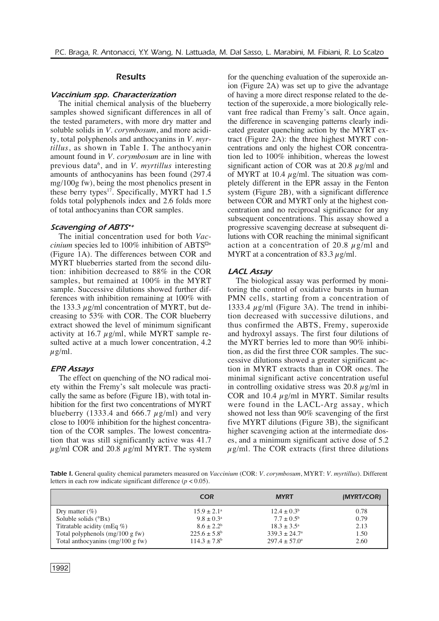#### *Results*

#### *Vaccinium spp. Characterization*

The initial chemical analysis of the blueberry samples showed significant differences in all of the tested parameters, with more dry matter and soluble solids in *V. corymbosum*, and more acidity, total polyphenols and anthocyanins in *V. myrtillus*, as shown in Table I. The anthocyanin amount found in *V. corymbosum* are in line with previous data<sup>6</sup>, and in *V. myrtillus* interesting amounts of anthocyanins has been found (297.4 mg/100g fw), being the most phenolics present in these berry types<sup>17</sup>. Specifically, MYRT had 1.5 folds total polyphenols index and 2.6 folds more of total anthocyanins than COR samples.

#### *Scavenging of ABTS•+*

The initial concentration used for both *Vaccinium* species led to 100% inhibition of ABTS $^{\square+}$ (Figure 1A). The differences between COR and MYRT blueberries started from the second dilution: inhibition decreased to 88% in the COR samples, but remained at 100% in the MYRT sample. Successive dilutions showed further differences with inhibition remaining at 100% with the 133.3  $\mu$ g/ml concentration of MYRT, but decreasing to 53% with COR. The COR blueberry extract showed the level of minimum significant activity at 16.7  $\mu$ g/ml, while MYRT sample resulted active at a much lower concentration, 4.2  $u \rho/ml$ .

#### *EPR Assays*

The effect on quenching of the NO radical moiety within the Fremy's salt molecule was practically the same as before (Figure 1B), with total inhibition for the first two concentrations of MYRT blueberry (1333.4 and 666.7  $\mu$ g/ml) and very close to 100% inhibition for the highest concentration of the COR samples. The lowest concentration that was still significantly active was 41.7  $\mu$ g/ml COR and 20.8  $\mu$ g/ml MYRT. The system for the quenching evaluation of the superoxide anion (Figure 2A) was set up to give the advantage of having a more direct response related to the detection of the superoxide, a more biologically relevant free radical than Fremy's salt. Once again, the difference in scavenging patterns clearly indicated greater quenching action by the MYRT extract (Figure 2A): the three highest MYRT concentrations and only the highest COR concentration led to 100% inhibition, whereas the lowest significant action of COR was at 20.8  $\mu$ g/ml and of MYRT at 10.4  $\mu$ g/ml. The situation was completely different in the EPR assay in the Fenton system (Figure 2B), with a significant difference between COR and MYRT only at the highest concentration and no reciprocal significance for any subsequent concentrations. This assay showed a progressive scavenging decrease at subsequent dilutions with COR reaching the minimal significant action at a concentration of 20.8  $\mu$ g/ml and MYRT at a concentration of 83.3  $\mu$ g/ml.

#### *LACL Assay*

The biological assay was performed by monitoring the control of oxidative bursts in human PMN cells, starting from a concentration of 1333.4  $\mu$ g/ml (Figure 3A). The trend in inhibition decreased with successive dilutions, and thus confirmed the ABTS, Fremy, superoxide and hydroxyl assays. The first four dilutions of the MYRT berries led to more than 90% inhibition, as did the first three COR samples. The successive dilutions showed a greater significant action in MYRT extracts than in COR ones. The minimal significant active concentration useful in controlling oxidative stress was  $20.8 \mu g/ml$  in COR and 10.4  $\mu$ g/ml in MYRT. Similar results were found in the LACL-Arg assay, which showed not less than 90% scavenging of the first five MYRT dilutions (Figure 3B), the significant higher scavenging action at the intermediate doses, and a minimum significant active dose of 5.2  $\mu$ g/ml. The COR extracts (first three dilutions

*Table I.* General quality chemical parameters measured on *Vaccinium* (COR: *V. corymbosum*, MYRT: *V. myrtillus*). Different letters in each row indicate significant difference  $(p < 0.05)$ .

|                                    | <b>COR</b>              | <b>MYRT</b>              | (MYRT/COR) |  |
|------------------------------------|-------------------------|--------------------------|------------|--|
| Dry matter $(\%)$                  | $15.9 \pm 2.1^{\circ}$  | $12.4 \pm 0.3^b$         | 0.78       |  |
| Soluble solids $(^{\circ}Bx)$      | $9.8 \pm 0.3^{\rm a}$   | $7.7 \pm 0.5^{\rm b}$    | 0.79       |  |
| Titratable acidity (mEq $\%$ )     | $8.6 \pm 2.2^b$         | $18.3 \pm 3.5^{\circ}$   | 2.13       |  |
| Total polyphenols $(mg/100 g fw)$  | $225.6 \pm 5.8^{\circ}$ | $339.3 \pm 24.7^{\circ}$ | 1.50       |  |
| Total anthocyanins $(mg/100 g fw)$ | $114.3 \pm 7.8^{\rm b}$ | $297.4 \pm 57.0^{\circ}$ | 2.60       |  |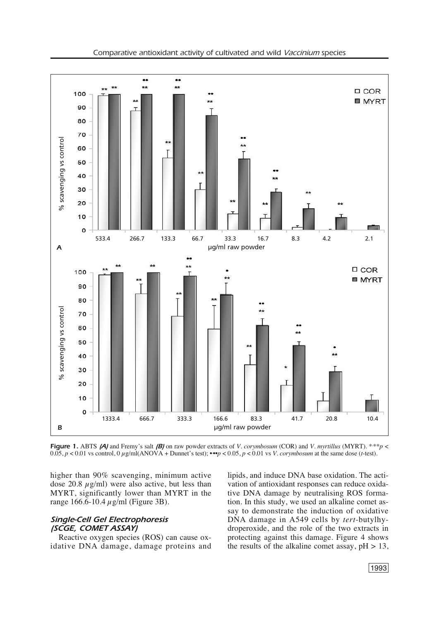

*Figure* 1. ABTS *(A)* and Fremy's salt *(B)* on raw powder extracts of *V. corymbosum* (COR) and *V. myrtillus* (MYRT). \*\*\**p* <  $0.05$ ,  $p < 0.01$  vs control,  $0 \mu g/ml(ANOVA + Dunnet's test)$ ; ••• $p < 0.05$ ,  $p < 0.01$  vs *V. corymbosum* at the same dose (*t*-test).

higher than 90% scavenging, minimum active dose 20.8  $\mu$ g/ml) were also active, but less than MYRT, significantly lower than MYRT in the range 166.6-10.4  $\mu$ g/ml (Figure 3B).

## *Single-Cell Gel Electrophoresis (SCGE, COMET ASSAY)*

Reactive oxygen species (ROS) can cause oxidative DNA damage, damage proteins and lipids, and induce DNA base oxidation. The activation of antioxidant responses can reduce oxidative DNA damage by neutralising ROS formation. In this study, we used an alkaline comet assay to demonstrate the induction of oxidative DNA damage in A549 cells by *tert*-butylhydroperoxide, and the role of the two extracts in protecting against this damage. Figure 4 shows the results of the alkaline comet assay,  $pH > 13$ ,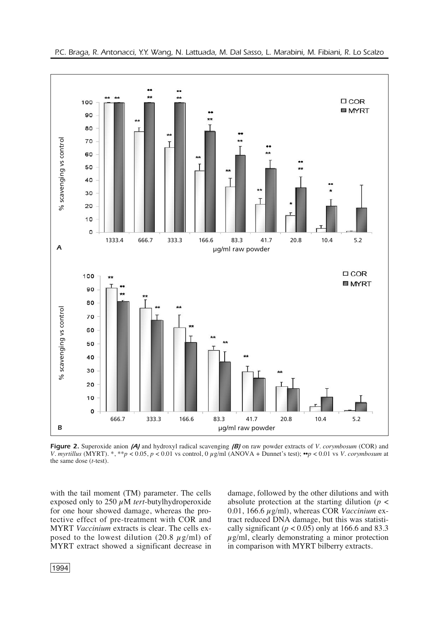

*Figure 2.* Superoxide anion *(A)* and hydroxyl radical scavenging *(B)* on raw powder extracts of *V. corymbosum* (COR) and *V. myrtillus* (MYRT). \*, \*\**p* < 0.05, *p* < 0.01 vs control, 0 µg/ml (ANOVA + Dunnet's test); ••*p* < 0.01 vs *V. corymbosum* at the same dose (*t*-test).

with the tail moment (TM) parameter. The cells exposed only to  $250 \mu M$  *tert*-butylhydroperoxide for one hour showed damage, whereas the protective effect of pre-treatment with COR and MYRT *Vaccinium* extracts is clear. The cells exposed to the lowest dilution (20.8  $\mu$ g/ml) of MYRT extract showed a significant decrease in damage, followed by the other dilutions and with absolute protection at the starting dilution ( $p <$ 0.01, 166.6 µg/ml), whereas COR *Vaccinium* extract reduced DNA damage, but this was statistically significant ( $p < 0.05$ ) only at 166.6 and 83.3  $\mu$ g/ml, clearly demonstrating a minor protection in comparison with MYRT bilberry extracts.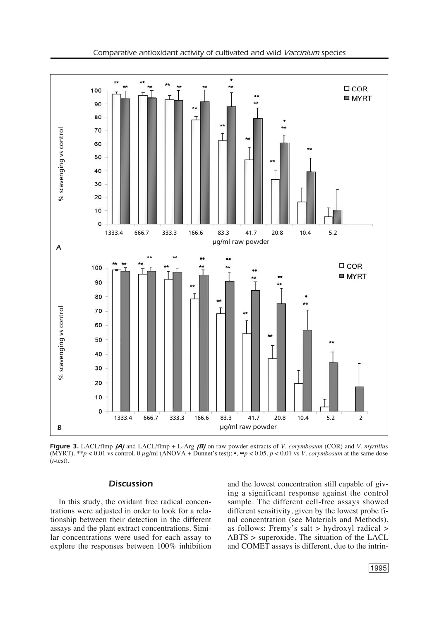

*Figure 3.* LACL/flmp *(A)* and LACL/flmp + L-Arg *(B)* on raw powder extracts of *V. corymbosum* (COR) and *V. myrtillu*s (MYRT). \*\**p* < 0.01 vs control, 0  $\mu$ g/ml (ANOVA + Dunnet's test); •, ••*p* < 0.05, *p* < 0.01 vs *V. corymbosum* at the same dose (*t*-test).

## *Discussion*

In this study, the oxidant free radical concentrations were adjusted in order to look for a relationship between their detection in the different assays and the plant extract concentrations. Similar concentrations were used for each assay to explore the responses between 100% inhibition and the lowest concentration still capable of giving a significant response against the control sample. The different cell-free assays showed different sensitivity, given by the lowest probe final concentration (see Materials and Methods), as follows: Fremy's salt > hydroxyl radical > ABTS > superoxide. The situation of the LACL and COMET assays is different, due to the intrin-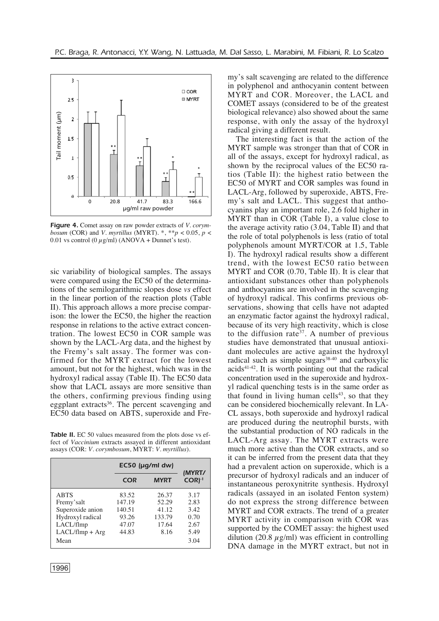

*Figure 4.* Comet assay on raw powder extracts of *V. corymbosum* (COR) and *V. myrtillus* (MYRT). \*, \*\**p* < 0.05, *p* < 0.01 vs control (0  $\mu$ g/ml) (ANOVA + Dunnet's test).

sic variability of biological samples. The assays were compared using the EC50 of the determinations of the semilogarithmic slopes dose *vs* effect in the linear portion of the reaction plots (Table II). This approach allows a more precise comparison: the lower the EC50, the higher the reaction response in relations to the active extract concentration. The lowest EC50 in COR sample was shown by the LACL-Arg data, and the highest by the Fremy's salt assay. The former was confirmed for the MYRT extract for the lowest amount, but not for the highest, which was in the hydroxyl radical assay (Table II). The EC50 data show that LACL assays are more sensitive than the others, confirming previous finding using eggplant extracts<sup>36</sup>. The percent scavenging and EC50 data based on ABTS, superoxide and Fre-

**Table II.** EC 50 values measured from the plots dose vs effect of *Vaccinium* extracts assayed in different antioxidant assays (COR: *V. corymbosum*, MYRT: *V. myrtillus*).

|                   | $EC50$ (µg/ml dw) | (MYRT/      |                     |
|-------------------|-------------------|-------------|---------------------|
|                   | <b>COR</b>        | <b>MYRT</b> | $COR$ <sup>-1</sup> |
| <b>ABTS</b>       | 83.52             | 26.37       | 3.17                |
| Fremy'salt        | 147.19            | 52.29       | 2.83                |
| Superoxide anion  | 140.51            | 41.12       | 3.42                |
| Hydroxyl radical  | 93.26             | 133.79      | 0.70                |
| LACL/flmp         | 47.07             | 17.64       | 2.67                |
| $LACL/fImp + Arg$ | 44.83             | 8.16        | 5.49                |
| Mean              |                   |             | 3.04                |

my's salt scavenging are related to the difference in polyphenol and anthocyanin content between MYRT and COR. Moreover, the LACL and COMET assays (considered to be of the greatest biological relevance) also showed about the same response, with only the assay of the hydroxyl radical giving a different result.

The interesting fact is that the action of the MYRT sample was stronger than that of COR in all of the assays, except for hydroxyl radical, as shown by the reciprocal values of the EC50 ratios (Table II): the highest ratio between the EC50 of MYRT and COR samples was found in LACL-Arg, followed by superoxide, ABTS, Fremy's salt and LACL. This suggest that anthocyanins play an important role, 2.6 fold higher in MYRT than in COR (Table I), a value close to the average activity ratio (3.04, Table II) and that the role of total polyphenols is less (ratio of total polyphenols amount MYRT/COR at 1.5, Table I). The hydroxyl radical results show a different trend, with the lowest EC50 ratio between MYRT and COR (0.70, Table II). It is clear that antioxidant substances other than polyphenols and anthocyanins are involved in the scavenging of hydroxyl radical. This confirms previous observations, showing that cells have not adapted an enzymatic factor against the hydroxyl radical, because of its very high reactivity, which is close to the diffusion rate<sup>37</sup>. A number of previous studies have demonstrated that unusual antioxidant molecules are active against the hydroxyl radical such as simple sugars $38-40$  and carboxylic  $acids<sup>41-42</sup>$ . It is worth pointing out that the radical concentration used in the superoxide and hydroxyl radical quenching tests is in the same order as that found in living human cells $43$ , so that they can be considered biochemically relevant. In LA-CL assays, both superoxide and hydroxyl radical are produced during the neutrophil bursts, with the substantial production of NO radicals in the LACL-Arg assay. The MYRT extracts were much more active than the COR extracts, and so it can be inferred from the present data that they had a prevalent action on superoxide, which is a precursor of hydroxyl radicals and an inducer of instantaneous peroxynitrite synthesis. Hydroxyl radicals (assayed in an isolated Fenton system) do not express the strong difference between MYRT and COR extracts. The trend of a greater MYRT activity in comparison with COR was supported by the COMET assay: the highest used dilution (20.8  $\mu$ g/ml) was efficient in controlling DNA damage in the MYRT extract, but not in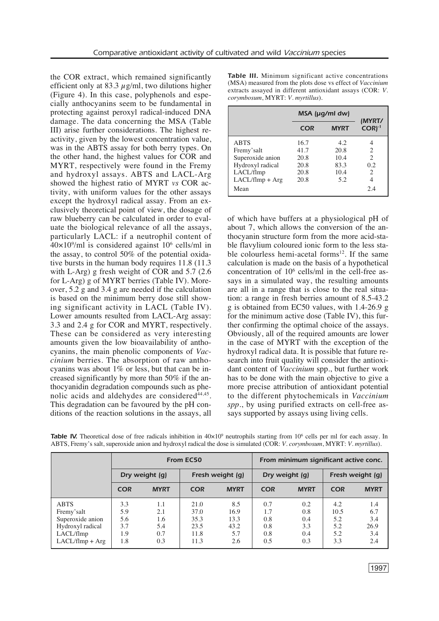the COR extract, which remained significantly efficient only at 83.3  $\mu$ g/ml, two dilutions higher (Figure 4). In this case, polyphenols and especially anthocyanins seem to be fundamental in protecting against peroxyl radical-induced DNA damage. The data concerning the MSA (Table III) arise further considerations. The highest reactivity, given by the lowest concentration value, was in the ABTS assay for both berry types. On the other hand, the highest values for COR and MYRT, respectively were found in the Fremy and hydroxyl assays. ABTS and LACL-Arg showed the highest ratio of MYRT *vs* COR activity, with uniform values for the other assays except the hydroxyl radical assay. From an exclusively theoretical point of view, the dosage of raw blueberry can be calculated in order to evaluate the biological relevance of all the assays, particularly LACL: if a neutrophil content of 40×109 /ml is considered against 106 cells/ml in the assay, to control 50% of the potential oxidative bursts in the human body requires 11.8 (11.3 with L-Arg) g fresh weight of COR and 5.7 (2.6 for L-Arg) g of MYRT berries (Table IV). Moreover, 5.2 g and 3.4 g are needed if the calculation is based on the minimum berry dose still showing significant activity in LACL (Table IV). Lower amounts resulted from LACL-Arg assay: 3.3 and 2.4 g for COR and MYRT, respectively. These can be considered as very interesting amounts given the low bioavailability of anthocyanins, the main phenolic components of *Vaccinium* berries. The absorption of raw anthocyanins was about 1% or less, but that can be increased significantly by more than 50% if the anthocyanidin degradation compounds such as phenolic acids and aldehydes are considered<sup>44,45</sup>. This degradation can be favoured by the pH conditions of the reaction solutions in the assays, all

*Table III.* Minimum significant active concentrations (MSA) measured from the plots dose vs effect of *Vaccinium* extracts assayed in different antioxidant assays (COR: *V. corymbosum*, MYRT: *V. myrtillus*).

|                   | $MSA$ ( $\mu$ g/ml dw) | (MYRT/      |                             |
|-------------------|------------------------|-------------|-----------------------------|
|                   | <b>COR</b>             | <b>MYRT</b> | $CORI-1$                    |
| <b>ABTS</b>       | 16.7                   | 4.2         |                             |
| Fremy'salt        | 41.7                   | 20.8        | 2                           |
| Superoxide anion  | 20.8                   | 10.4        | $\mathcal{D}_{\mathcal{A}}$ |
| Hydroxyl radical  | 20.8                   | 83.3        | 0.2                         |
| LACL/flmp         | 20.8                   | 10.4        | 2                           |
| $LACL/fImp + Arg$ | 20.8                   | 5.2         | 4                           |
| Mean              |                        |             | 2.4                         |

of which have buffers at a physiological pH of about 7, which allows the conversion of the anthocyanin structure form from the more acid-stable flavylium coloured ionic form to the less stable colourless hemi-acetal forms<sup>12</sup>. If the same calculation is made on the basis of a hypothetical concentration of 106 cells/ml in the cell-free assays in a simulated way, the resulting amounts are all in a range that is close to the real situation: a range in fresh berries amount of 8.5-43.2 g is obtained from EC50 values, with 1.4-26.9 g for the minimum active dose (Table IV), this further confirming the optimal choice of the assays. Obviously, all of the required amounts are lower in the case of MYRT with the exception of the hydroxyl radical data. It is possible that future research into fruit quality will consider the antioxidant content of *Vaccinium* spp., but further work has to be done with the main objective to give a more precise attribution of antioxidant potential to the different phytochemicals in *Vaccinium spp*., by using purified extracts on cell-free assays supported by assays using living cells.

|                                                                                                      | From EC50                              |                                        |                                              | From minimum significant active conc.     |                                        |                                        |                                         |                                         |
|------------------------------------------------------------------------------------------------------|----------------------------------------|----------------------------------------|----------------------------------------------|-------------------------------------------|----------------------------------------|----------------------------------------|-----------------------------------------|-----------------------------------------|
|                                                                                                      | Dry weight (q)                         |                                        | Fresh weight (g)                             |                                           | Dry weight (q)                         |                                        | Fresh weight (g)                        |                                         |
|                                                                                                      | <b>COR</b>                             | <b>MYRT</b>                            | <b>COR</b>                                   | <b>MYRT</b>                               | <b>COR</b>                             | <b>MYRT</b>                            | <b>COR</b>                              | <b>MYRT</b>                             |
| <b>ABTS</b><br>Fremy's alt<br>Superoxide anion<br>Hydroxyl radical<br>LACL/flmp<br>$LACL/fImp + Arg$ | 3.3<br>5.9<br>5.6<br>3.7<br>1.9<br>1.8 | 1.1<br>2.1<br>1.6<br>5.4<br>0.7<br>0.3 | 21.0<br>37.0<br>35.3<br>23.5<br>11.8<br>11.3 | 8.5<br>16.9<br>13.3<br>43.2<br>5.7<br>2.6 | 0.7<br>1.7<br>0.8<br>0.8<br>0.8<br>0.5 | 0.2<br>0.8<br>0.4<br>3.3<br>0.4<br>0.3 | 4.2<br>10.5<br>5.2<br>5.2<br>5.2<br>3.3 | 1.4<br>6.7<br>3.4<br>26.9<br>3.4<br>2.4 |

**Table IV.** Theoretical dose of free radicals inhibition in  $40\times10^9$  neutrophils starting from  $10^6$  cells per ml for each assay. In ABTS, Fremy's salt, superoxide anion and hydroxyl radical the dose is simulated (COR: *V. corymbosum*, MYRT: *V. myrtillus*).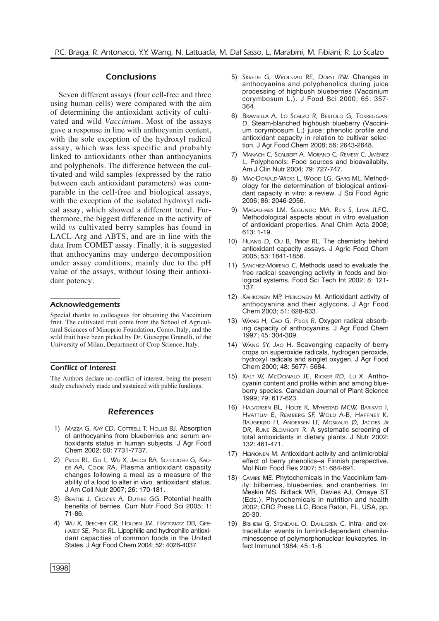## *Conclusions*

Seven different assays (four cell-free and three using human cells) were compared with the aim of determining the antioxidant activity of cultivated and wild *Vaccinium*. Most of the assays gave a response in line with anthocyanin content, with the sole exception of the hydroxyl radical assay, which was less specific and probably linked to antioxidants other than anthocyanins and polyphenols. The difference between the cultivated and wild samples (expressed by the ratio between each antioxidant parameters) was comparable in the cell-free and biological assays, with the exception of the isolated hydroxyl radical assay, which showed a different trend. Furthermore, the biggest difference in the activity of wild *vs* cultivated berry samples has found in LACL-Arg and ABTS, and are in line with the data from COMET assay. Finally, it is suggested that anthocyanins may undergo decomposition under assay conditions, mainly due to the pH value of the assays, without losing their antioxidant potency.

#### ––––––––––––––––––– *Acknowledgements*

Special thanks to colleagues for obtaining the Vaccinium fruit. The cultivated fruit come from the School of Agricultural Sciences of Minoprio Foundation, Como, Italy, and the wild fruit have been picked by Dr. Giuseppe Granelli, of the University of Milan, Department of Crop Science, Italy.

#### ––––––––––––––––––––- *Conflict of Interest*

The Authors declare no conflict of interest, being the present study exclusively made and sustained with public fundings.

#### *References*

- 1) *MAZZA G, KAY CD, COTTRELL T, HOLUB BJ.* Absorption of anthocyanins from blueberries and serum antioxidants status in human subjects. J Agr Food Chem 2002; 50: 7731-7737.
- 2) *PRIOR RL, GU L, WU X, JACOB RA, SOTOUDEH G, KAD-ER AA, COOK RA*. Plasma antioxidant capacity changes following a meal as a measure of the ability of a food to alter in vivo antioxidant status. J Am Coll Nutr 2007; 26: 170-181.
- 3) *BEATTIE J, CROZIER A, DUTHIE GG*. Potential health benefits of berries. Curr Nutr Food Sci 2005; 1: 71-86.
- 4) *WU X, BEECHER GR, HOLDEN JM, HAYTOWITZ DB, GEB-HARDT SE, PRIOR RL.* Lipophilic and hydrophilic antioxidant capacities of common foods in the United States. J Agr Food Chem 2004; 52: 4026-4037.
- 5) *SKREDE G, WROLSTAD RE, DURST RW.* Changes in anthocyanins and polyphenolics during juice processing of highbush blueberries (Vaccinium corymbosum L.). J Food Sci 2000; 65: 357- 364.
- 6) *BRAMBILLA A, LO SCALZO R, BERTOLO G, TORREGGIANI D.* Steam-blanched highbush blueberry (Vaccinium corymbosum L.) juice: phenolic profile and antioxidant capacity in relation to cultivar selection. J Agr Food Chem 2008; 56: 2643-2648.
- 7) *MANACH C, SCALBERT A, MORAND C, REMESY C, JIMÉNEZ L.* Polyphenols: Food sources and bioavailabity. Am J Clin Nutr 2004; 79: 727-747.
- 8) *MAC-DONALD-WICKS L, WOOD LG, GARG ML.* Methodology for the determination of biological antioxidant capacity in vitro: a review. J Sci Food Agric 2006; 86: 2046-2056.
- 9) *MAGALHAES LM, SEGUNDO MA, REIS S, LIMA JLF*C. Methodological aspects about in vitro evaluation of antioxidant properties. Anal Chim Acta 2008; 613: 1-19.
- 10) *HUANG D, OU B, PRIOR RL.* The chemistry behind antioxidant capacity assays. J Agric Food Chem 2005; 53: 1841-1856.
- 11) *SANCHEZ-MORENO C*. Methods used to evaluate the free radical scavenging activity in foods and biological systems. Food Sci Tech Int 2002; 8: 121- 137.
- 12) *KÄHKÖNEN MP, HEINONEN M.* Antioxidant activity of anthocyanins and their aglycons. J Agr Food Chem 2003; 51: 628-633.
- 13) *WANG H, CAO G, PRIOR R*. Oxygen radical absorbing capacity of anthocyanins. J Agr Food Chem 1997; 45: 304-309.
- 14) *WANG SY, JAO H*. Scavenging capacity of berry crops on superoxide radicals, hydrogen peroxide, hydroxyl radicals and singlet oxygen. J Agr Food Chem 2000; 48: 5677- 5684.
- 15) *KALT W, MCDONALD JE, RICKER RD, LU X.* Anthocyanin content and profile within and among blueberry species. Canadian Journal of Plant Science 1999; 79: 617-623.
- 16) *HALVORSEN BL, HOLTE K, MYHRSTAD MCW, BARIKMO I, HVATTUM E, REMBERG SF, WOLD A-B, HAFFNER K, BAUGERØD H, ANDERSEN LF, MOSKAUG Ø, JACOBS JR DR, RUNE BLOMHOFF R.* A systematic screening of total antioxidants in dietary plants. J Nutr 2002; 132: 461-471.
- 17) *HEINONEN M*. Antioxidant activity and antimicrobial effect of berry phenolics–a Finnish perspective. Mol Nutr Food Res 2007; 51: 684-691.
- 18) *CAMIRE ME*. Phytochemicals in the Vaccinium family: bilberries, blueberries, and cranberries. In: Meskin MS, Bidlack WR, Davies AJ, Omaye ST (Eds.). Phytochemicals in nutrition and health 2002; CRC Press LLC, Boca Raton, FL, USA, pp. 20-30.
- 19) *BRIHEIM G, STENDAHL O, DAHLGREN C.* Intra- and extracellular events in luminol-dependent chemiluminescence of polymorphonuclear leukocytes. Infect Immunol 1984; 45: 1-8.